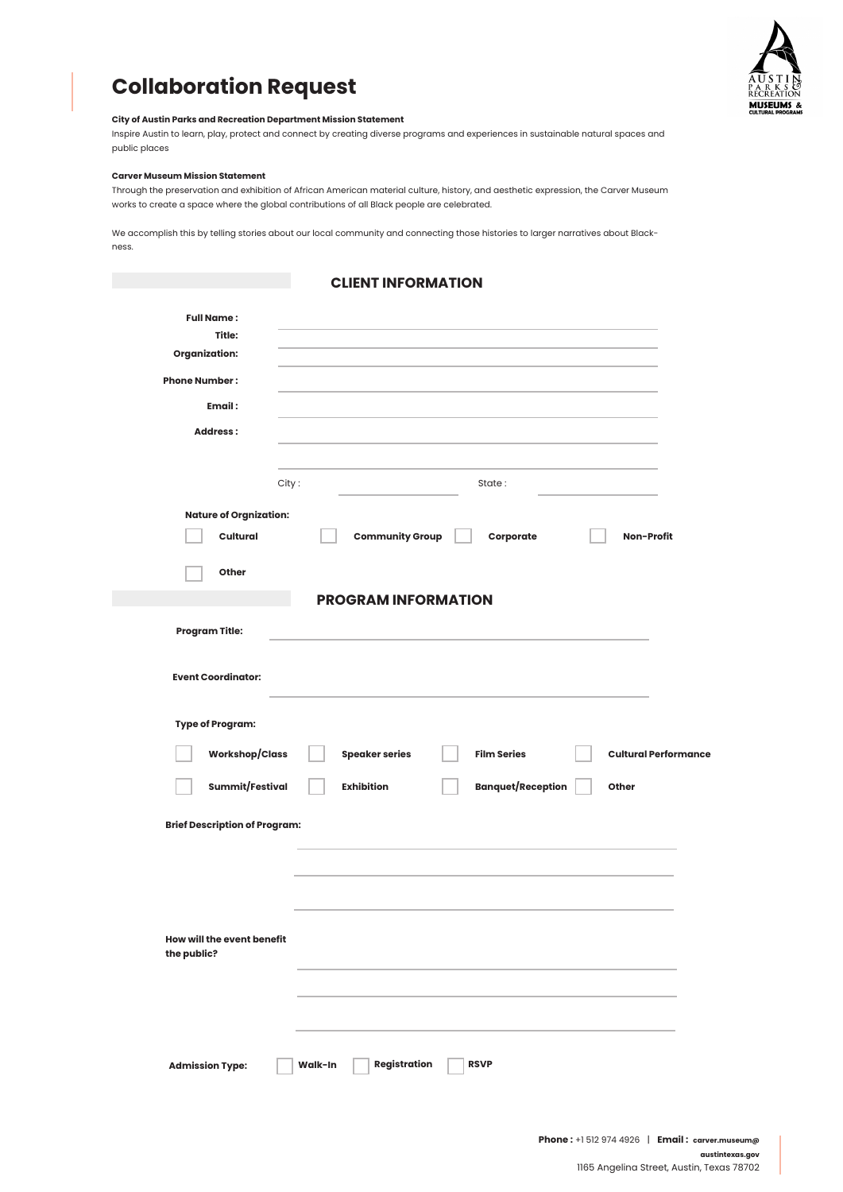

# **Collaboration Request**

#### **City of Austin Parks and Recreation Department Mission Statement**

Inspire Austin to learn, play, protect and connect by creating diverse programs and experiences in sustainable natural spaces and public places

#### **Carver Museum Mission Statement**

Through the preservation and exhibition of African American material culture, history, and aesthetic expression, the Carver Museum works to create a space where the global contributions of all Black people are celebrated.

We accomplish this by telling stories about our local community and connecting those histories to larger narratives about Blackness.

## **CLIENT INFORMATION**

| <b>Full Name:</b><br>Title:               |                                |                          |                             |
|-------------------------------------------|--------------------------------|--------------------------|-----------------------------|
| <b>Organization:</b>                      |                                |                          |                             |
| <b>Phone Number:</b>                      |                                |                          |                             |
| Email:                                    |                                |                          |                             |
| <b>Address:</b>                           |                                |                          |                             |
|                                           | City:                          | State:                   |                             |
| <b>Nature of Orgnization:</b>             |                                |                          |                             |
| Cultural                                  | <b>Community Group</b>         | Corporate                | Non-Profit                  |
| Other                                     |                                |                          |                             |
|                                           | <b>PROGRAM INFORMATION</b>     |                          |                             |
| <b>Program Title:</b>                     |                                |                          |                             |
| <b>Event Coordinator:</b>                 |                                |                          |                             |
| <b>Type of Program:</b>                   |                                |                          |                             |
| <b>Workshop/Class</b>                     | <b>Speaker series</b>          | <b>Film Series</b>       | <b>Cultural Performance</b> |
| Summit/Festival                           | <b>Exhibition</b>              | <b>Banquet/Reception</b> | Other                       |
| <b>Brief Description of Program:</b>      |                                |                          |                             |
|                                           |                                |                          |                             |
|                                           |                                |                          |                             |
| How will the event benefit<br>the public? |                                |                          |                             |
|                                           |                                |                          |                             |
|                                           |                                |                          |                             |
|                                           |                                |                          |                             |
| <b>Admission Type:</b>                    | <b>Registration</b><br>Walk-In | <b>RSVP</b>              |                             |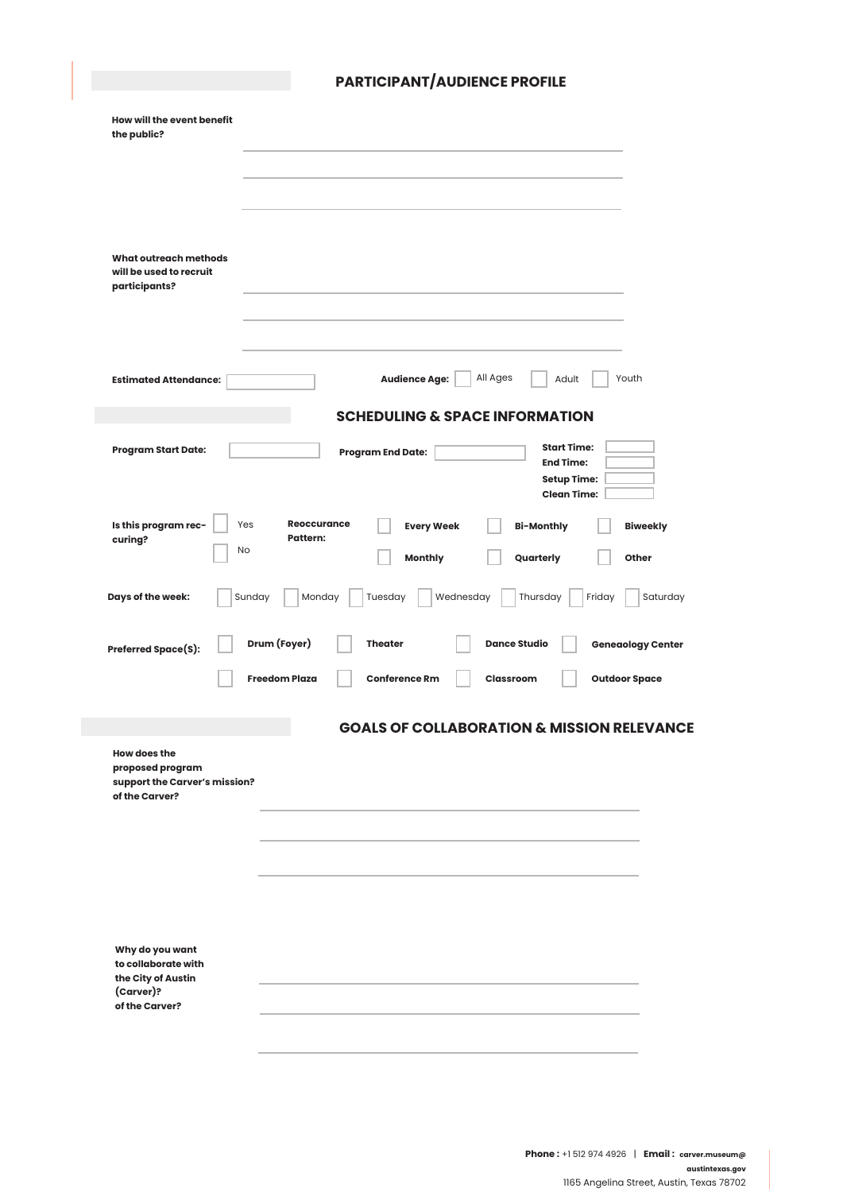|                                                                                            | <b>PARTICIPANT/AUDIENCE PROFILE</b>                                                                                                                                           |
|--------------------------------------------------------------------------------------------|-------------------------------------------------------------------------------------------------------------------------------------------------------------------------------|
| How will the event benefit<br>the public?                                                  |                                                                                                                                                                               |
|                                                                                            |                                                                                                                                                                               |
|                                                                                            |                                                                                                                                                                               |
| <b>What outreach methods</b><br>will be used to recruit<br>participants?                   |                                                                                                                                                                               |
|                                                                                            |                                                                                                                                                                               |
| <b>Estimated Attendance:</b>                                                               | <b>Audience Age:</b><br>All Ages<br>Adult<br>Youth                                                                                                                            |
|                                                                                            | <b>SCHEDULING &amp; SPACE INFORMATION</b>                                                                                                                                     |
| <b>Program Start Date:</b>                                                                 | <b>Start Time:</b><br><b>Program End Date:</b><br><b>End Time:</b><br><b>Setup Time:</b><br><b>Clean Time:</b>                                                                |
| Is this program rec-<br>curing?                                                            | <b>Reoccurance</b><br>Yes<br><b>Every Week</b><br><b>Bi-Monthly</b><br><b>Biweekly</b><br><b>Pattern:</b><br>No<br><b>Monthly</b><br>Quarterly<br>Other                       |
| Days of the week:                                                                          | Sunday<br>Monday<br>Tuesday<br>Wednesday<br>Thursday<br>Friday<br>Saturday                                                                                                    |
| <b>Preferred Space(S):</b>                                                                 | Drum (Foyer)<br><b>Dance Studio</b><br><b>Geneaology Center</b><br><b>Theater</b><br><b>Conference Rm</b><br><b>Freedom Plaza</b><br><b>Classroom</b><br><b>Outdoor Space</b> |
|                                                                                            | <b>GOALS OF COLLABORATION &amp; MISSION RELEVANCE</b>                                                                                                                         |
| <b>How does the</b><br>proposed program<br>support the Carver's mission?<br>of the Carver? |                                                                                                                                                                               |
|                                                                                            |                                                                                                                                                                               |
|                                                                                            |                                                                                                                                                                               |
|                                                                                            |                                                                                                                                                                               |
|                                                                                            |                                                                                                                                                                               |
| Why do you want<br>to collaborate with<br>the City of Austin<br>(Carver)?                  |                                                                                                                                                                               |